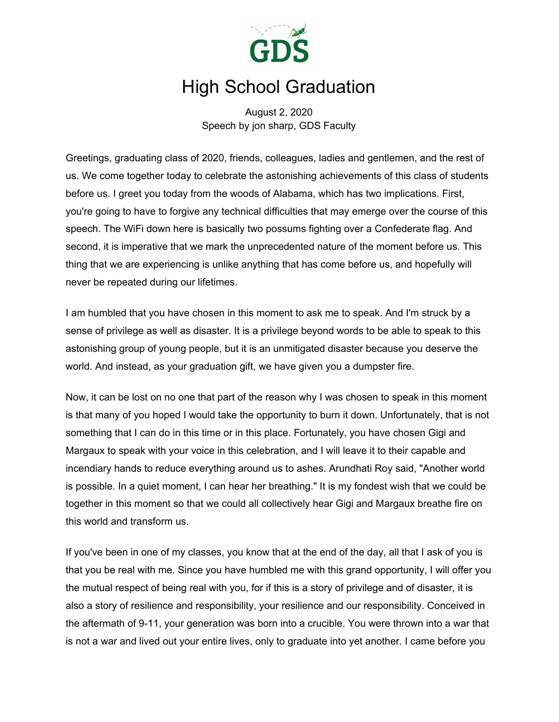

## High School Graduation

August 2, 2020 Speech by jon sharp, GDS Faculty

Greetings, graduating class of 2020, friends, colleagues, ladies and gentlemen, and the rest of us. We come together today to celebrate the astonishing achievements of this class of students before us. I greet you today from the woods of Alabama, which has two implications. First, you're going to have to forgive any technical difficulties that may emerge over the course of this speech. The WiFi down here is basically two possums fighting over a Confederate flag. And second, it is imperative that we mark the unprecedented nature of the moment before us. This thing that we are experiencing is unlike anything that has come before us, and hopefully will never be repeated during our lifetimes.

I am humbled that you have chosen in this moment to ask me to speak. And I'm struck by a sense of privilege as well as disaster. It is a privilege beyond words to be able to speak to this astonishing group of young people, but it is an unmitigated disaster because you deserve the world. And instead, as your graduation gift, we have given you a dumpster fire.

Now, it can be lost on no one that part of the reason why I was chosen to speak in this moment is that many of you hoped I would take the opportunity to burn it down. Unfortunately, that is not something that I can do in this time or in this place. Fortunately, you have chosen Gigi and Margaux to speak with your voice in this celebration, and I will leave it to their capable and incendiary hands to reduce everything around us to ashes. Arundhati Roy said, "Another world is possible. In a quiet moment, I can hear her breathing." It is my fondest wish that we could be together in this moment so that we could all collectively hear Gigi and Margaux breathe fire on this world and transform us.

If you've been in one of my classes, you know that at the end of the day, all that I ask of you is that you be real with me. Since you have humbled me with this grand opportunity, I will offer you the mutual respect of being real with you, for if this is a story of privilege and of disaster, it is also a story of resilience and responsibility, your resilience and our responsibility. Conceived in the aftermath of 9-11, your generation was born into a crucible. You were thrown into a war that is not a war and lived out your entire lives, only to graduate into yet another. I came before you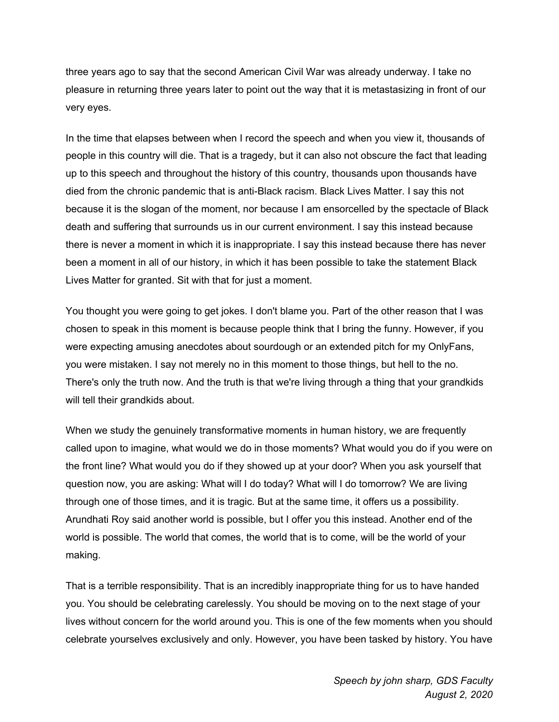three years ago to say that the second American Civil War was already underway. I take no pleasure in returning three years later to point out the way that it is metastasizing in front of our very eyes.

In the time that elapses between when I record the speech and when you view it, thousands of people in this country will die. That is a tragedy, but it can also not obscure the fact that leading up to this speech and throughout the history of this country, thousands upon thousands have died from the chronic pandemic that is anti-Black racism. Black Lives Matter. I say this not because it is the slogan of the moment, nor because I am ensorcelled by the spectacle of Black death and suffering that surrounds us in our current environment. I say this instead because there is never a moment in which it is inappropriate. I say this instead because there has never been a moment in all of our history, in which it has been possible to take the statement Black Lives Matter for granted. Sit with that for just a moment.

You thought you were going to get jokes. I don't blame you. Part of the other reason that I was chosen to speak in this moment is because people think that I bring the funny. However, if you were expecting amusing anecdotes about sourdough or an extended pitch for my OnlyFans, you were mistaken. I say not merely no in this moment to those things, but hell to the no. There's only the truth now. And the truth is that we're living through a thing that your grandkids will tell their grandkids about.

When we study the genuinely transformative moments in human history, we are frequently called upon to imagine, what would we do in those moments? What would you do if you were on the front line? What would you do if they showed up at your door? When you ask yourself that question now, you are asking: What will I do today? What will I do tomorrow? We are living through one of those times, and it is tragic. But at the same time, it offers us a possibility. Arundhati Roy said another world is possible, but I offer you this instead. Another end of the world is possible. The world that comes, the world that is to come, will be the world of your making.

That is a terrible responsibility. That is an incredibly inappropriate thing for us to have handed you. You should be celebrating carelessly. You should be moving on to the next stage of your lives without concern for the world around you. This is one of the few moments when you should celebrate yourselves exclusively and only. However, you have been tasked by history. You have